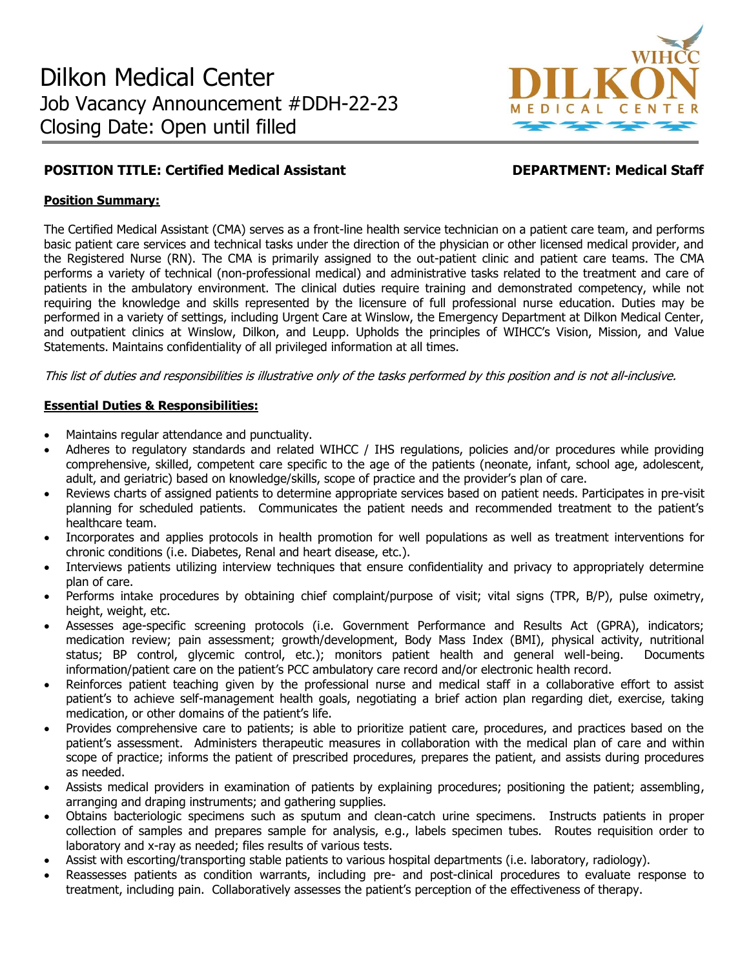

# **POSITION TITLE: Certified Medical Assistant Construction CEPARTMENT: Medical Staff**

### **Position Summary:**

The Certified Medical Assistant (CMA) serves as a front-line health service technician on a patient care team, and performs basic patient care services and technical tasks under the direction of the physician or other licensed medical provider, and the Registered Nurse (RN). The CMA is primarily assigned to the out-patient clinic and patient care teams. The CMA performs a variety of technical (non-professional medical) and administrative tasks related to the treatment and care of patients in the ambulatory environment. The clinical duties require training and demonstrated competency, while not requiring the knowledge and skills represented by the licensure of full professional nurse education. Duties may be performed in a variety of settings, including Urgent Care at Winslow, the Emergency Department at Dilkon Medical Center, and outpatient clinics at Winslow, Dilkon, and Leupp. Upholds the principles of WIHCC's Vision, Mission, and Value Statements. Maintains confidentiality of all privileged information at all times.

This list of duties and responsibilities is illustrative only of the tasks performed by this position and is not all-inclusive.

# **Essential Duties & Responsibilities:**

- Maintains regular attendance and punctuality.
- Adheres to regulatory standards and related WIHCC / IHS regulations, policies and/or procedures while providing comprehensive, skilled, competent care specific to the age of the patients (neonate, infant, school age, adolescent, adult, and geriatric) based on knowledge/skills, scope of practice and the provider's plan of care.
- Reviews charts of assigned patients to determine appropriate services based on patient needs. Participates in pre-visit planning for scheduled patients. Communicates the patient needs and recommended treatment to the patient's healthcare team.
- Incorporates and applies protocols in health promotion for well populations as well as treatment interventions for chronic conditions (i.e. Diabetes, Renal and heart disease, etc.).
- Interviews patients utilizing interview techniques that ensure confidentiality and privacy to appropriately determine plan of care.
- Performs intake procedures by obtaining chief complaint/purpose of visit; vital signs (TPR, B/P), pulse oximetry, height, weight, etc.
- Assesses age-specific screening protocols (i.e. Government Performance and Results Act (GPRA), indicators; medication review; pain assessment; growth/development, Body Mass Index (BMI), physical activity, nutritional status; BP control, glycemic control, etc.); monitors patient health and general well-being. Documents information/patient care on the patient's PCC ambulatory care record and/or electronic health record.
- Reinforces patient teaching given by the professional nurse and medical staff in a collaborative effort to assist patient's to achieve self-management health goals, negotiating a brief action plan regarding diet, exercise, taking medication, or other domains of the patient's life.
- Provides comprehensive care to patients; is able to prioritize patient care, procedures, and practices based on the patient's assessment. Administers therapeutic measures in collaboration with the medical plan of care and within scope of practice; informs the patient of prescribed procedures, prepares the patient, and assists during procedures as needed.
- Assists medical providers in examination of patients by explaining procedures; positioning the patient; assembling, arranging and draping instruments; and gathering supplies.
- Obtains bacteriologic specimens such as sputum and clean-catch urine specimens. Instructs patients in proper collection of samples and prepares sample for analysis, e.g., labels specimen tubes. Routes requisition order to laboratory and x-ray as needed; files results of various tests.
- Assist with escorting/transporting stable patients to various hospital departments (i.e. laboratory, radiology).
- Reassesses patients as condition warrants, including pre- and post-clinical procedures to evaluate response to treatment, including pain. Collaboratively assesses the patient's perception of the effectiveness of therapy.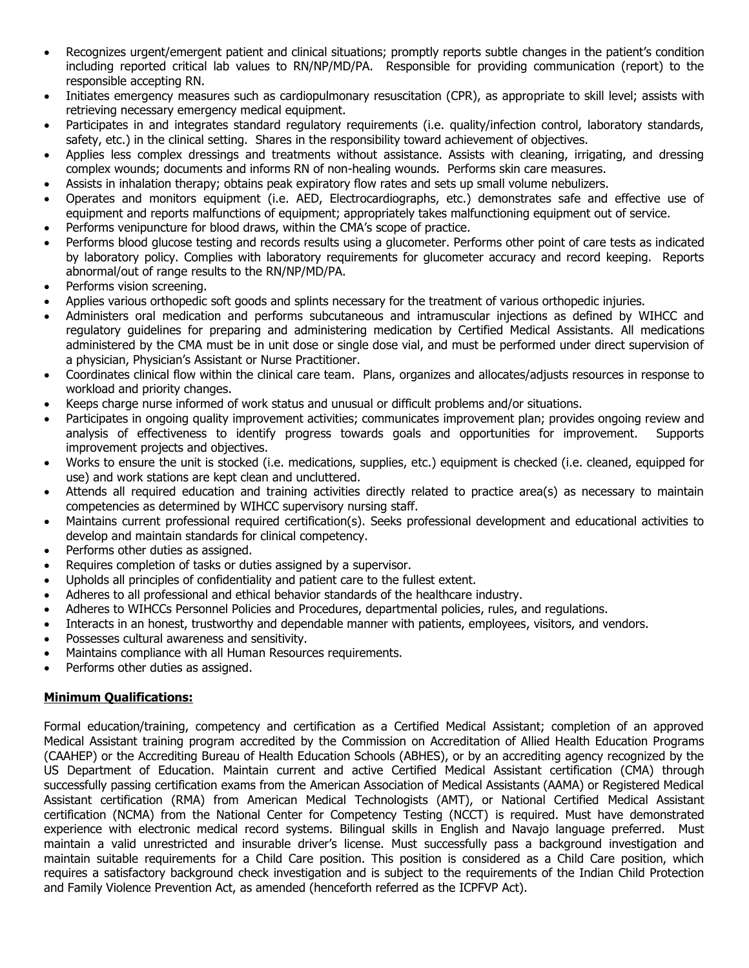- Recognizes urgent/emergent patient and clinical situations; promptly reports subtle changes in the patient's condition including reported critical lab values to RN/NP/MD/PA. Responsible for providing communication (report) to the responsible accepting RN.
- Initiates emergency measures such as cardiopulmonary resuscitation (CPR), as appropriate to skill level; assists with retrieving necessary emergency medical equipment.
- Participates in and integrates standard regulatory requirements (i.e. quality/infection control, laboratory standards, safety, etc.) in the clinical setting. Shares in the responsibility toward achievement of objectives.
- Applies less complex dressings and treatments without assistance. Assists with cleaning, irrigating, and dressing complex wounds; documents and informs RN of non-healing wounds. Performs skin care measures.
- Assists in inhalation therapy; obtains peak expiratory flow rates and sets up small volume nebulizers.
- Operates and monitors equipment (i.e. AED, Electrocardiographs, etc.) demonstrates safe and effective use of equipment and reports malfunctions of equipment; appropriately takes malfunctioning equipment out of service.
- Performs venipuncture for blood draws, within the CMA's scope of practice.
- Performs blood glucose testing and records results using a glucometer. Performs other point of care tests as indicated by laboratory policy. Complies with laboratory requirements for glucometer accuracy and record keeping. Reports abnormal/out of range results to the RN/NP/MD/PA.
- Performs vision screening.
- Applies various orthopedic soft goods and splints necessary for the treatment of various orthopedic injuries.
- Administers oral medication and performs subcutaneous and intramuscular injections as defined by WIHCC and regulatory guidelines for preparing and administering medication by Certified Medical Assistants. All medications administered by the CMA must be in unit dose or single dose vial, and must be performed under direct supervision of a physician, Physician's Assistant or Nurse Practitioner.
- Coordinates clinical flow within the clinical care team. Plans, organizes and allocates/adjusts resources in response to workload and priority changes.
- Keeps charge nurse informed of work status and unusual or difficult problems and/or situations.
- Participates in ongoing quality improvement activities; communicates improvement plan; provides ongoing review and analysis of effectiveness to identify progress towards goals and opportunities for improvement. Supports improvement projects and objectives.
- Works to ensure the unit is stocked (i.e. medications, supplies, etc.) equipment is checked (i.e. cleaned, equipped for use) and work stations are kept clean and uncluttered.
- Attends all required education and training activities directly related to practice area(s) as necessary to maintain competencies as determined by WIHCC supervisory nursing staff.
- Maintains current professional required certification(s). Seeks professional development and educational activities to develop and maintain standards for clinical competency.
- Performs other duties as assigned.
- Requires completion of tasks or duties assigned by a supervisor.
- Upholds all principles of confidentiality and patient care to the fullest extent.
- Adheres to all professional and ethical behavior standards of the healthcare industry.
- Adheres to WIHCCs Personnel Policies and Procedures, departmental policies, rules, and regulations.
- Interacts in an honest, trustworthy and dependable manner with patients, employees, visitors, and vendors.
- Possesses cultural awareness and sensitivity.
- Maintains compliance with all Human Resources requirements.
- Performs other duties as assigned.

#### **Minimum Qualifications:**

Formal education/training, competency and certification as a Certified Medical Assistant; completion of an approved Medical Assistant training program accredited by the Commission on Accreditation of Allied Health Education Programs (CAAHEP) or the Accrediting Bureau of Health Education Schools (ABHES), or by an accrediting agency recognized by the US Department of Education. Maintain current and active Certified Medical Assistant certification (CMA) through successfully passing certification exams from the American Association of Medical Assistants (AAMA) or Registered Medical Assistant certification (RMA) from American Medical Technologists (AMT), or National Certified Medical Assistant certification (NCMA) from the National Center for Competency Testing (NCCT) is required. Must have demonstrated experience with electronic medical record systems. Bilingual skills in English and Navajo language preferred. Must maintain a valid unrestricted and insurable driver's license. Must successfully pass a background investigation and maintain suitable requirements for a Child Care position. This position is considered as a Child Care position, which requires a satisfactory background check investigation and is subject to the requirements of the Indian Child Protection and Family Violence Prevention Act, as amended (henceforth referred as the ICPFVP Act).